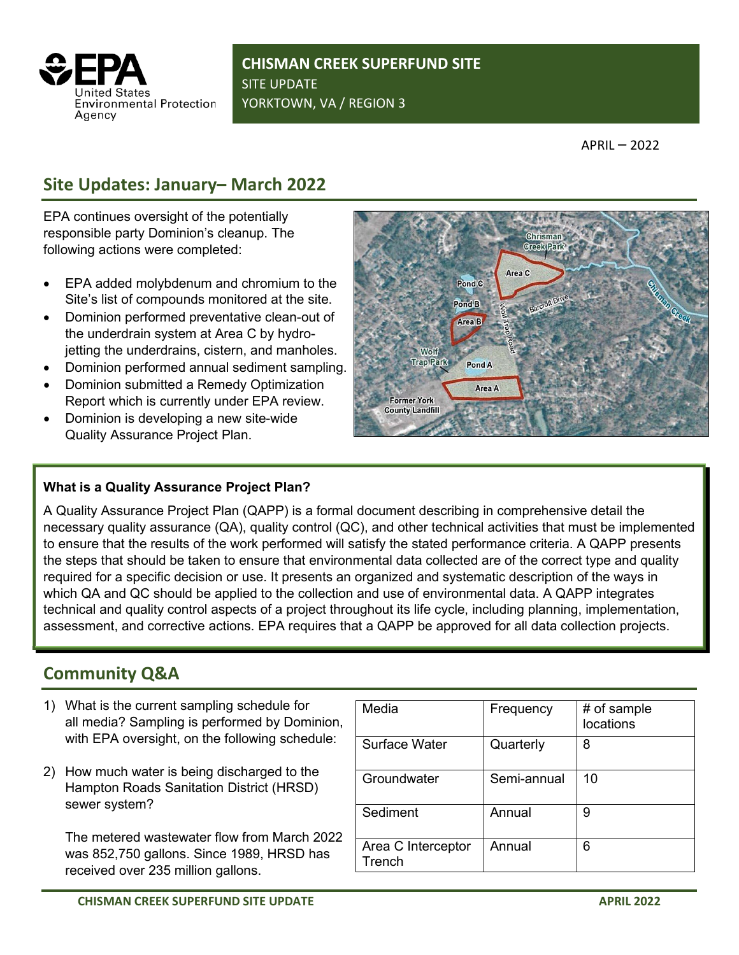

**CHISMAN CREEK SUPERFUND SITE** SITE UPDATE YORKTOWN, VA / REGION 3

APRIL – 2022

## **Site Updates: January– March 2022**

EPA continues oversight of the potentially responsible party Dominion's cleanup. The following actions were completed:

- EPA added molybdenum and chromium to the Site's list of compounds monitored at the site.
- Dominion performed preventative clean-out of the underdrain system at Area C by hydrojetting the underdrains, cistern, and manholes.
- Dominion performed annual sediment sampling.
- Dominion submitted a Remedy Optimization Report which is currently under EPA review.
- Dominion is developing a new site-wide Quality Assurance Project Plan.

## **What is a Quality Assurance Project Plan?**

A Quality Assurance Project Plan (QAPP) is a formal document describing in comprehensive detail the necessary quality assurance (QA), quality control (QC), and other technical activities that must be implemented to ensure that the results of the work performed will satisfy the stated performance criteria. A QAPP presents the steps that should be taken to ensure that environmental data collected are of the correct type and quality required for a specific decision or use. It presents an organized and systematic description of the ways in which QA and QC should be applied to the collection and use of environmental data. A QAPP integrates technical and quality control aspects of a project throughout its life cycle, including planning, implementation, assessment, and corrective actions. EPA requires that a QAPP be approved for all data collection projects.

## **Community Q&A**

- 1) What is the current sampling schedule for all media? Sampling is performed by Dominion, with EPA oversight, on the following schedule:
- 2) How much water is being discharged to the Hampton Roads Sanitation District (HRSD) sewer system?

The metered wastewater flow from March 2022 was 852,750 gallons. Since 1989, HRSD has received over 235 million gallons.

| Media                        | Frequency   | # of sample<br>locations |
|------------------------------|-------------|--------------------------|
| Surface Water                | Quarterly   | 8                        |
| Groundwater                  | Semi-annual | 10                       |
| Sediment                     | Annual      | 9                        |
| Area C Interceptor<br>Trench | Annual      | 6                        |